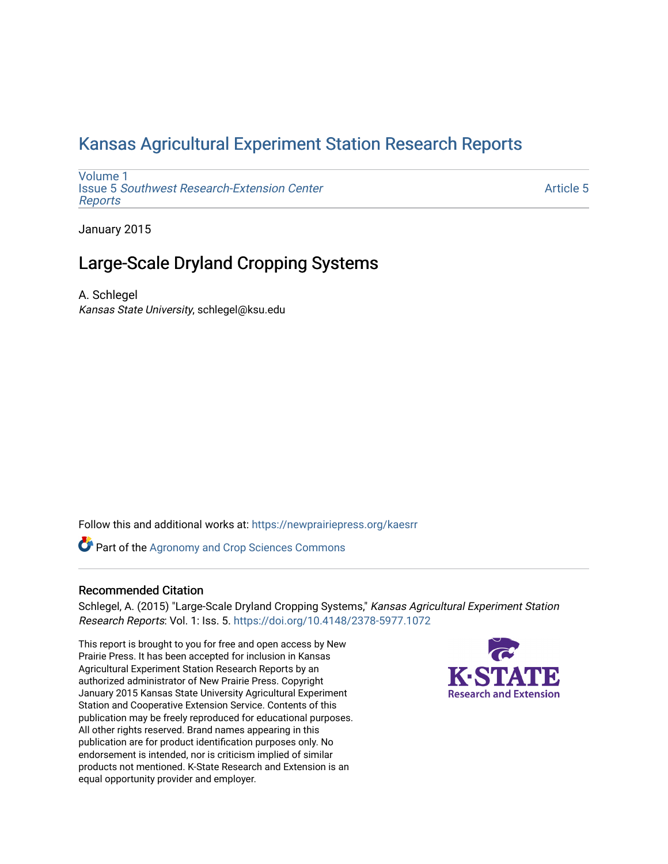# [Kansas Agricultural Experiment Station Research Reports](https://newprairiepress.org/kaesrr)

[Volume 1](https://newprairiepress.org/kaesrr/vol1) Issue 5 [Southwest Research-Extension Center](https://newprairiepress.org/kaesrr/vol1/iss5)  [Reports](https://newprairiepress.org/kaesrr/vol1/iss5)

[Article 5](https://newprairiepress.org/kaesrr/vol1/iss5/5) 

January 2015

# Large-Scale Dryland Cropping Systems

A. Schlegel Kansas State University, schlegel@ksu.edu

Follow this and additional works at: [https://newprairiepress.org/kaesrr](https://newprairiepress.org/kaesrr?utm_source=newprairiepress.org%2Fkaesrr%2Fvol1%2Fiss5%2F5&utm_medium=PDF&utm_campaign=PDFCoverPages) 

**Part of the Agronomy and Crop Sciences Commons** 

### Recommended Citation

Schlegel, A. (2015) "Large-Scale Dryland Cropping Systems," Kansas Agricultural Experiment Station Research Reports: Vol. 1: Iss. 5.<https://doi.org/10.4148/2378-5977.1072>

This report is brought to you for free and open access by New Prairie Press. It has been accepted for inclusion in Kansas Agricultural Experiment Station Research Reports by an authorized administrator of New Prairie Press. Copyright January 2015 Kansas State University Agricultural Experiment Station and Cooperative Extension Service. Contents of this publication may be freely reproduced for educational purposes. All other rights reserved. Brand names appearing in this publication are for product identification purposes only. No endorsement is intended, nor is criticism implied of similar products not mentioned. K-State Research and Extension is an equal opportunity provider and employer.

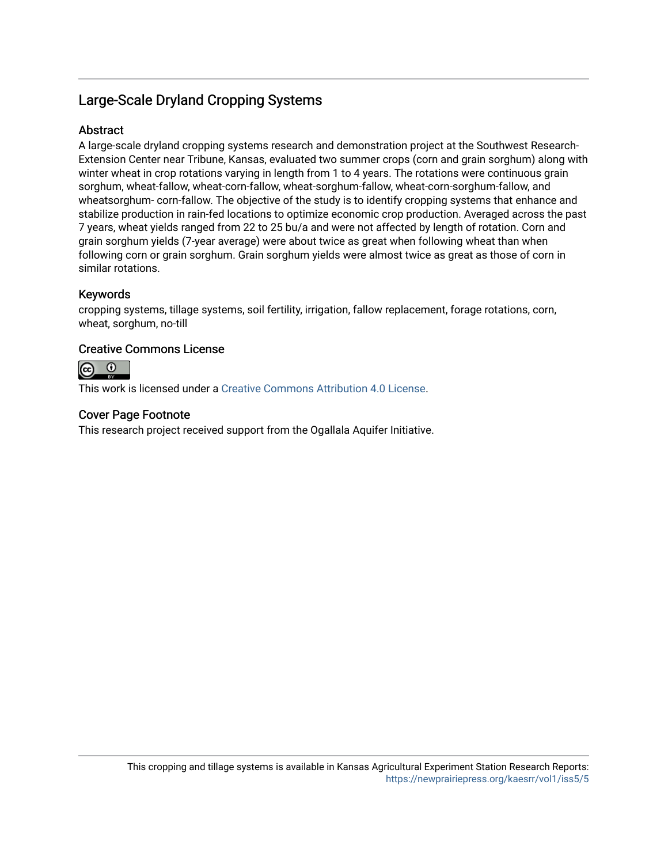# Large-Scale Dryland Cropping Systems

### **Abstract**

A large-scale dryland cropping systems research and demonstration project at the Southwest Research-Extension Center near Tribune, Kansas, evaluated two summer crops (corn and grain sorghum) along with winter wheat in crop rotations varying in length from 1 to 4 years. The rotations were continuous grain sorghum, wheat-fallow, wheat-corn-fallow, wheat-sorghum-fallow, wheat-corn-sorghum-fallow, and wheatsorghum- corn-fallow. The objective of the study is to identify cropping systems that enhance and stabilize production in rain-fed locations to optimize economic crop production. Averaged across the past 7 years, wheat yields ranged from 22 to 25 bu/a and were not affected by length of rotation. Corn and grain sorghum yields (7-year average) were about twice as great when following wheat than when following corn or grain sorghum. Grain sorghum yields were almost twice as great as those of corn in similar rotations.

### Keywords

cropping systems, tillage systems, soil fertility, irrigation, fallow replacement, forage rotations, corn, wheat, sorghum, no-till

### Creative Commons License



This work is licensed under a [Creative Commons Attribution 4.0 License](https://creativecommons.org/licenses/by/4.0/).

### Cover Page Footnote

This research project received support from the Ogallala Aquifer Initiative.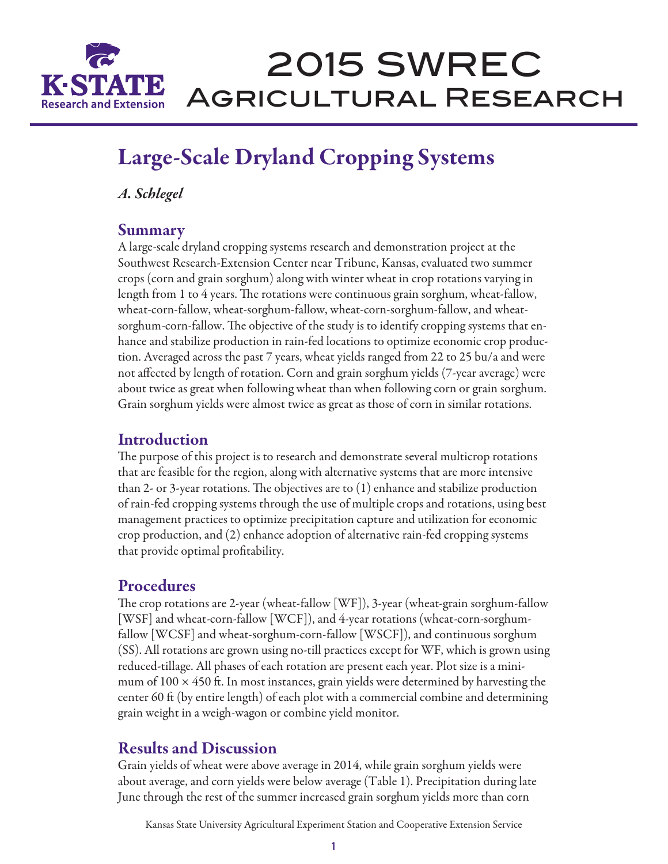

# 2015 SWREC Agricultural Research

# Large-Scale Dryland Cropping Systems

*A. Schlegel*

### Summary

A large-scale dryland cropping systems research and demonstration project at the Southwest Research-Extension Center near Tribune, Kansas, evaluated two summer crops (corn and grain sorghum) along with winter wheat in crop rotations varying in length from 1 to 4 years. The rotations were continuous grain sorghum, wheat-fallow, wheat-corn-fallow, wheat-sorghum-fallow, wheat-corn-sorghum-fallow, and wheatsorghum-corn-fallow. The objective of the study is to identify cropping systems that enhance and stabilize production in rain-fed locations to optimize economic crop production. Averaged across the past 7 years, wheat yields ranged from 22 to 25 bu/a and were not affected by length of rotation. Corn and grain sorghum yields (7-year average) were about twice as great when following wheat than when following corn or grain sorghum. Grain sorghum yields were almost twice as great as those of corn in similar rotations.

# Introduction

The purpose of this project is to research and demonstrate several multicrop rotations that are feasible for the region, along with alternative systems that are more intensive than 2- or 3-year rotations. The objectives are to (1) enhance and stabilize production of rain-fed cropping systems through the use of multiple crops and rotations, using best management practices to optimize precipitation capture and utilization for economic crop production, and (2) enhance adoption of alternative rain-fed cropping systems that provide optimal profitability.

# **Procedures**

The crop rotations are 2-year (wheat-fallow [WF]), 3-year (wheat-grain sorghum-fallow [WSF] and wheat-corn-fallow [WCF]), and 4-year rotations (wheat-corn-sorghumfallow [WCSF] and wheat-sorghum-corn-fallow [WSCF]), and continuous sorghum (SS). All rotations are grown using no-till practices except for WF, which is grown using reduced-tillage. All phases of each rotation are present each year. Plot size is a minimum of  $100 \times 450$  ft. In most instances, grain yields were determined by harvesting the center 60 ft (by entire length) of each plot with a commercial combine and determining grain weight in a weigh-wagon or combine yield monitor.

# Results and Discussion

Grain yields of wheat were above average in 2014, while grain sorghum yields were about average, and corn yields were below average (Table 1). Precipitation during late June through the rest of the summer increased grain sorghum yields more than corn

Kansas State University Agricultural Experiment Station and Cooperative Extension Service